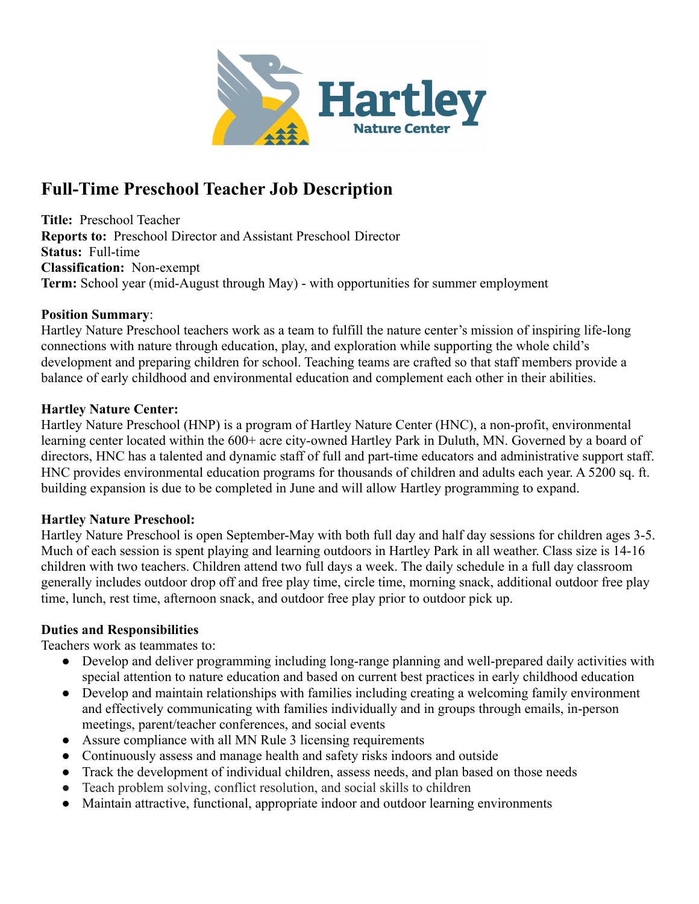

# **Full-Time Preschool Teacher Job Description**

**Title:** Preschool Teacher **Reports to:** Preschool Director and Assistant Preschool Director **Status:** Full-time **Classification:** Non-exempt **Term:** School year (mid-August through May) - with opportunities for summer employment

#### **Position Summary**:

Hartley Nature Preschool teachers work as a team to fulfill the nature center's mission of inspiring life-long connections with nature through education, play, and exploration while supporting the whole child's development and preparing children for school. Teaching teams are crafted so that staff members provide a balance of early childhood and environmental education and complement each other in their abilities.

#### **Hartley Nature Center:**

Hartley Nature Preschool (HNP) is a program of Hartley Nature Center (HNC), a non-profit, environmental learning center located within the 600+ acre city-owned Hartley Park in Duluth, MN. Governed by a board of directors, HNC has a talented and dynamic staff of full and part-time educators and administrative support staff. HNC provides environmental education programs for thousands of children and adults each year. A 5200 sq. ft. building expansion is due to be completed in June and will allow Hartley programming to expand.

## **Hartley Nature Preschool:**

Hartley Nature Preschool is open September-May with both full day and half day sessions for children ages 3-5. Much of each session is spent playing and learning outdoors in Hartley Park in all weather. Class size is 14-16 children with two teachers. Children attend two full days a week. The daily schedule in a full day classroom generally includes outdoor drop off and free play time, circle time, morning snack, additional outdoor free play time, lunch, rest time, afternoon snack, and outdoor free play prior to outdoor pick up.

## **Duties and Responsibilities**

Teachers work as teammates to:

- Develop and deliver programming including long-range planning and well-prepared daily activities with special attention to nature education and based on current best practices in early childhood education
- Develop and maintain relationships with families including creating a welcoming family environment and effectively communicating with families individually and in groups through emails, in-person meetings, parent/teacher conferences, and social events
- Assure compliance with all MN Rule 3 licensing requirements
- Continuously assess and manage health and safety risks indoors and outside
- Track the development of individual children, assess needs, and plan based on those needs
- Teach problem solving, conflict resolution, and social skills to children
- Maintain attractive, functional, appropriate indoor and outdoor learning environments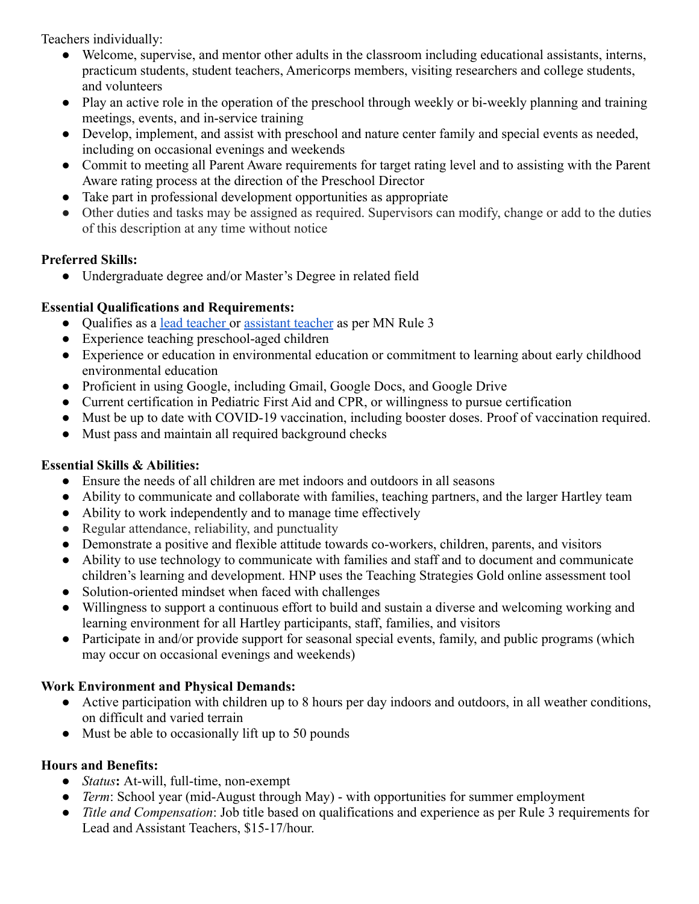Teachers individually:

- Welcome, supervise, and mentor other adults in the classroom including educational assistants, interns, practicum students, student teachers, Americorps members, visiting researchers and college students, and volunteers
- Play an active role in the operation of the preschool through weekly or bi-weekly planning and training meetings, events, and in-service training
- Develop, implement, and assist with preschool and nature center family and special events as needed, including on occasional evenings and weekends
- Commit to meeting all Parent Aware requirements for target rating level and to assisting with the Parent Aware rating process at the direction of the Preschool Director
- Take part in professional development opportunities as appropriate
- Other duties and tasks may be assigned as required. Supervisors can modify, change or add to the duties of this description at any time without notice

## **Preferred Skills:**

● Undergraduate degree and/or Master's Degree in related field

# **Essential Qualifications and Requirements:**

- Qualifies as a [lead teacher](https://www.revisor.mn.gov/rules/9503.0032/) or [assistant teacher](https://www.revisor.mn.gov/rules/9503.0033/) as per MN Rule 3
- Experience teaching preschool-aged children
- Experience or education in environmental education or commitment to learning about early childhood environmental education
- Proficient in using Google, including Gmail, Google Docs, and Google Drive
- Current certification in Pediatric First Aid and CPR, or willingness to pursue certification
- Must be up to date with COVID-19 vaccination, including booster doses. Proof of vaccination required.
- Must pass and maintain all required background checks

## **Essential Skills & Abilities:**

- Ensure the needs of all children are met indoors and outdoors in all seasons
- Ability to communicate and collaborate with families, teaching partners, and the larger Hartley team
- Ability to work independently and to manage time effectively
- Regular attendance, reliability, and punctuality
- Demonstrate a positive and flexible attitude towards co-workers, children, parents, and visitors
- Ability to use technology to communicate with families and staff and to document and communicate children's learning and development. HNP uses the Teaching Strategies Gold online assessment tool
- Solution-oriented mindset when faced with challenges
- Willingness to support a continuous effort to build and sustain a diverse and welcoming working and learning environment for all Hartley participants, staff, families, and visitors
- Participate in and/or provide support for seasonal special events, family, and public programs (which may occur on occasional evenings and weekends)

# **Work Environment and Physical Demands:**

- Active participation with children up to 8 hours per day indoors and outdoors, in all weather conditions, on difficult and varied terrain
- Must be able to occasionally lift up to 50 pounds

# **Hours and Benefits:**

- *Status***:** At-will, full-time, non-exempt
- *Term*: School year (mid-August through May) with opportunities for summer employment
- *Title and Compensation*: Job title based on qualifications and experience as per Rule 3 requirements for Lead and Assistant Teachers, \$15-17/hour.